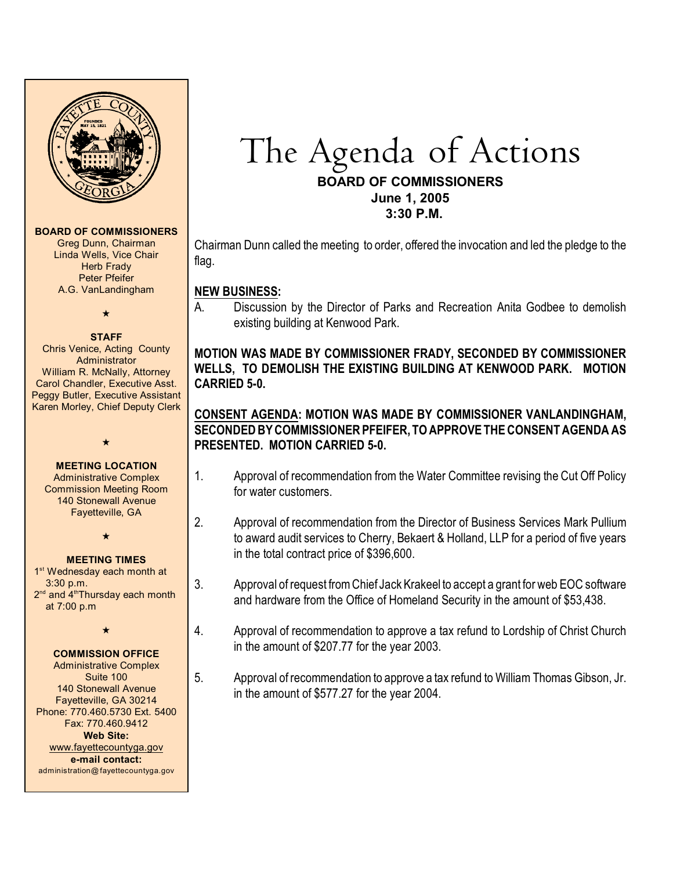

#### **BOARD OF COMMISSIONERS**

Greg Dunn, Chairman Linda Wells, Vice Chair **Herb Frady** Peter Pfeifer A.G. VanLandingham

# $\star$

**STAFF** Chris Venice, Acting County Administrator William R. McNally, Attorney Carol Chandler, Executive Asst. Peggy Butler, Executive Assistant Karen Morley, Chief Deputy Clerk

#### **MEETING LOCATION**

 $\star$ 

Administrative Complex Commission Meeting Room 140 Stonewall Avenue Fayetteville, GA

 $\star$ 

#### **MEETING TIMES**

1<sup>st</sup> Wednesday each month at 3:30 p.m. 2<sup>nd</sup> and 4<sup>th</sup>Thursday each month at 7:00 p.m

 $\star$ 

#### **COMMISSION OFFICE**

Administrative Complex Suite 100 140 Stonewall Avenue Fayetteville, GA 30214 Phone: 770.460.5730 Ext. 5400 Fax: 770.460.9412 **Web Site:** [www.fayettecountyga.gov](http://www.admin.co.fayette.ga.us) **e-mail contact:** administration@fayettecountyga.gov

# The Agenda of Actions **BOARD OF COMMISSIONERS**

**June 1, 2005 3:30 P.M.**

Chairman Dunn called the meeting to order, offered the invocation and led the pledge to the flag.

#### **NEW BUSINESS:**

A. Discussion by the Director of Parks and Recreation Anita Godbee to demolish existing building at Kenwood Park.

# **MOTION WAS MADE BY COMMISSIONER FRADY, SECONDED BY COMMISSIONER WELLS, TO DEMOLISH THE EXISTING BUILDING AT KENWOOD PARK. MOTION CARRIED 5-0.**

# **CONSENT AGENDA: MOTION WAS MADE BY COMMISSIONER VANLANDINGHAM, SECONDED BYCOMMISSIONER PFEIFER, TO APPROVETHECONSENTAGENDA AS PRESENTED. MOTION CARRIED 5-0.**

- 1. Approval of recommendation from the Water Committee revising the Cut Off Policy for water customers.
- 2. Approval of recommendation from the Director of Business Services Mark Pullium to award audit services to Cherry, Bekaert & Holland, LLP for a period of five years in the total contract price of \$396,600.
- 3. Approval of request fromChief Jack Krakeel to accept a grant for web EOC software and hardware from the Office of Homeland Security in the amount of \$53,438.
- 4. Approval of recommendation to approve a tax refund to Lordship of Christ Church in the amount of \$207.77 for the year 2003.
- 5. Approval of recommendation to approve a tax refund to William Thomas Gibson, Jr. in the amount of \$577.27 for the year 2004.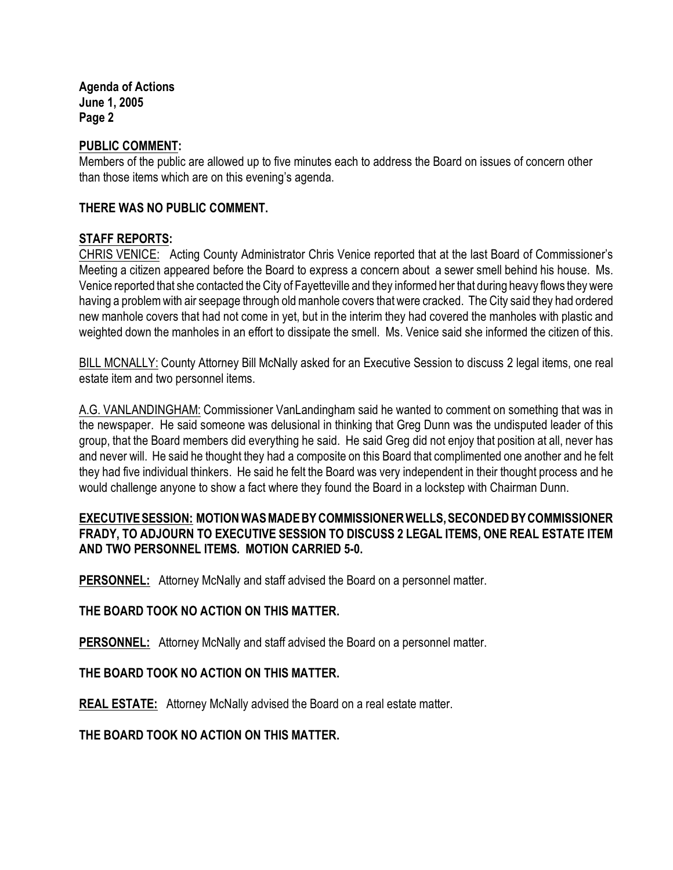**Agenda of Actions June 1, 2005 Page 2**

#### **PUBLIC COMMENT:**

Members of the public are allowed up to five minutes each to address the Board on issues of concern other than those items which are on this evening's agenda.

#### **THERE WAS NO PUBLIC COMMENT.**

#### **STAFF REPORTS:**

CHRIS VENICE: Acting County Administrator Chris Venice reported that at the last Board of Commissioner's Meeting a citizen appeared before the Board to express a concern about a sewer smell behind his house. Ms. Venice reported that she contacted the City of Fayetteville and they informed her that during heavy flows they were having a problem with air seepage through old manhole covers that were cracked. The City said they had ordered new manhole covers that had not come in yet, but in the interim they had covered the manholes with plastic and weighted down the manholes in an effort to dissipate the smell. Ms. Venice said she informed the citizen of this.

BILL MCNALLY: County Attorney Bill McNally asked for an Executive Session to discuss 2 legal items, one real estate item and two personnel items.

A.G. VANLANDINGHAM: Commissioner VanLandingham said he wanted to comment on something that was in the newspaper. He said someone was delusional in thinking that Greg Dunn was the undisputed leader of this group, that the Board members did everything he said. He said Greg did not enjoy that position at all, never has and never will. He said he thought they had a composite on this Board that complimented one another and he felt they had five individual thinkers. He said he felt the Board was very independent in their thought process and he would challenge anyone to show a fact where they found the Board in a lockstep with Chairman Dunn.

## **EXECUTIVE SESSION: MOTION WAS MADE BY COMMISSIONER WELLS, SECONDED BY COMMISSIONER FRADY, TO ADJOURN TO EXECUTIVE SESSION TO DISCUSS 2 LEGAL ITEMS, ONE REAL ESTATE ITEM AND TWO PERSONNEL ITEMS. MOTION CARRIED 5-0.**

**PERSONNEL:** Attorney McNally and staff advised the Board on a personnel matter.

## **THE BOARD TOOK NO ACTION ON THIS MATTER.**

**PERSONNEL:** Attorney McNally and staff advised the Board on a personnel matter.

## **THE BOARD TOOK NO ACTION ON THIS MATTER.**

**REAL ESTATE:** Attorney McNally advised the Board on a real estate matter.

#### **THE BOARD TOOK NO ACTION ON THIS MATTER.**